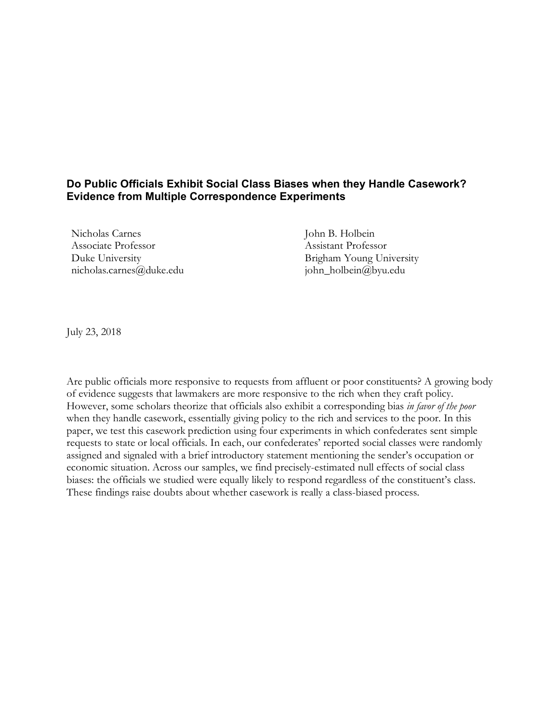## **Do Public Officials Exhibit Social Class Biases when they Handle Casework? Evidence from Multiple Correspondence Experiments**

Nicholas Carnes Associate Professor Duke University nicholas.carnes@duke.edu John B. Holbein Assistant Professor Brigham Young University john\_holbein@byu.edu

July 23, 2018

Are public officials more responsive to requests from affluent or poor constituents? A growing body of evidence suggests that lawmakers are more responsive to the rich when they craft policy. However, some scholars theorize that officials also exhibit a corresponding bias *in favor of the poor* when they handle casework, essentially giving policy to the rich and services to the poor. In this paper, we test this casework prediction using four experiments in which confederates sent simple requests to state or local officials. In each, our confederates' reported social classes were randomly assigned and signaled with a brief introductory statement mentioning the sender's occupation or economic situation. Across our samples, we find precisely-estimated null effects of social class biases: the officials we studied were equally likely to respond regardless of the constituent's class. These findings raise doubts about whether casework is really a class-biased process.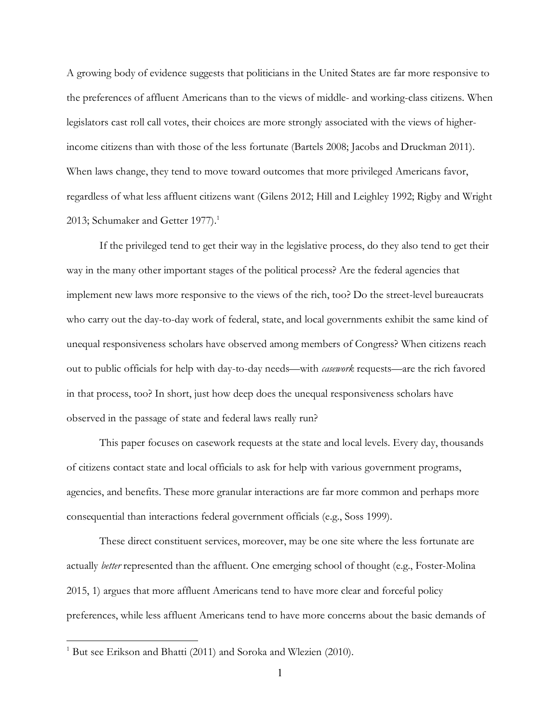A growing body of evidence suggests that politicians in the United States are far more responsive to the preferences of affluent Americans than to the views of middle- and working-class citizens. When legislators cast roll call votes, their choices are more strongly associated with the views of higherincome citizens than with those of the less fortunate (Bartels 2008; Jacobs and Druckman 2011). When laws change, they tend to move toward outcomes that more privileged Americans favor, regardless of what less affluent citizens want (Gilens 2012; Hill and Leighley 1992; Rigby and Wright 2013; Schumaker and Getter 1977).<sup>1</sup>

If the privileged tend to get their way in the legislative process, do they also tend to get their way in the many other important stages of the political process? Are the federal agencies that implement new laws more responsive to the views of the rich, too? Do the street-level bureaucrats who carry out the day-to-day work of federal, state, and local governments exhibit the same kind of unequal responsiveness scholars have observed among members of Congress? When citizens reach out to public officials for help with day-to-day needs—with *casework* requests—are the rich favored in that process, too? In short, just how deep does the unequal responsiveness scholars have observed in the passage of state and federal laws really run?

This paper focuses on casework requests at the state and local levels. Every day, thousands of citizens contact state and local officials to ask for help with various government programs, agencies, and benefits. These more granular interactions are far more common and perhaps more consequential than interactions federal government officials (e.g., Soss 1999).

These direct constituent services, moreover, may be one site where the less fortunate are actually *better* represented than the affluent. One emerging school of thought (e.g., Foster-Molina 2015, 1) argues that more affluent Americans tend to have more clear and forceful policy preferences, while less affluent Americans tend to have more concerns about the basic demands of

**.** 

 $1$  But see Erikson and Bhatti (2011) and Soroka and Wlezien (2010).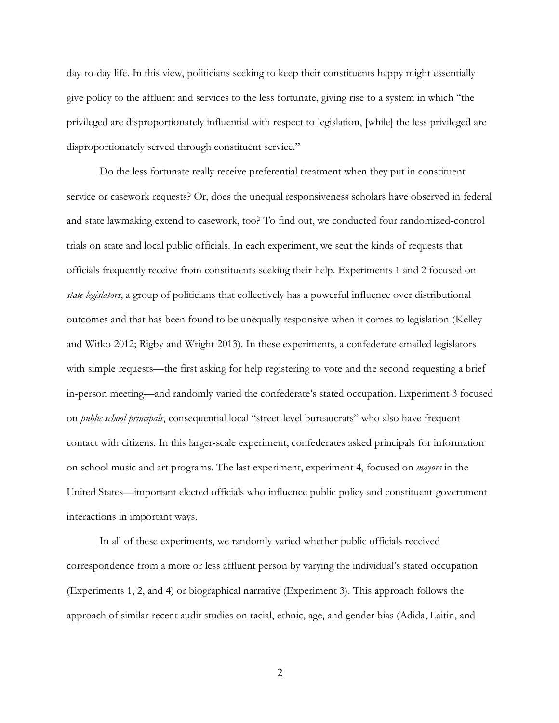day-to-day life. In this view, politicians seeking to keep their constituents happy might essentially give policy to the affluent and services to the less fortunate, giving rise to a system in which "the privileged are disproportionately influential with respect to legislation, [while] the less privileged are disproportionately served through constituent service."

Do the less fortunate really receive preferential treatment when they put in constituent service or casework requests? Or, does the unequal responsiveness scholars have observed in federal and state lawmaking extend to casework, too? To find out, we conducted four randomized-control trials on state and local public officials. In each experiment, we sent the kinds of requests that officials frequently receive from constituents seeking their help. Experiments 1 and 2 focused on *state legislators*, a group of politicians that collectively has a powerful influence over distributional outcomes and that has been found to be unequally responsive when it comes to legislation (Kelley and Witko 2012; Rigby and Wright 2013). In these experiments, a confederate emailed legislators with simple requests—the first asking for help registering to vote and the second requesting a brief in-person meeting—and randomly varied the confederate's stated occupation. Experiment 3 focused on *public school principals*, consequential local "street-level bureaucrats" who also have frequent contact with citizens. In this larger-scale experiment, confederates asked principals for information on school music and art programs. The last experiment, experiment 4, focused on *mayors* in the United States—important elected officials who influence public policy and constituent-government interactions in important ways.

In all of these experiments, we randomly varied whether public officials received correspondence from a more or less affluent person by varying the individual's stated occupation (Experiments 1, 2, and 4) or biographical narrative (Experiment 3). This approach follows the approach of similar recent audit studies on racial, ethnic, age, and gender bias (Adida, Laitin, and

2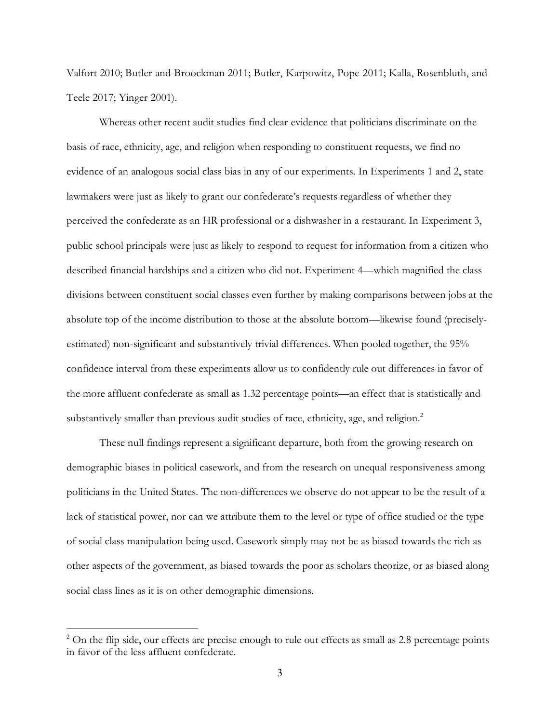Valfort 2010; Butler and Broockman 2011; Butler, Karpowitz, Pope 2011; Kalla, Rosenbluth, and Teele 2017; Yinger 2001).

Whereas other recent audit studies find clear evidence that politicians discriminate on the basis of race, ethnicity, age, and religion when responding to constituent requests, we find no evidence of an analogous social class bias in any of our experiments. In Experiments 1 and 2, state lawmakers were just as likely to grant our confederate's requests regardless of whether they perceived the confederate as an HR professional or a dishwasher in a restaurant. In Experiment 3, public school principals were just as likely to respond to request for information from a citizen who described financial hardships and a citizen who did not. Experiment 4—which magnified the class divisions between constituent social classes even further by making comparisons between jobs at the absolute top of the income distribution to those at the absolute bottom—likewise found (preciselyestimated) non-significant and substantively trivial differences. When pooled together, the 95% confidence interval from these experiments allow us to confidently rule out differences in favor of the more affluent confederate as small as 1.32 percentage points—an effect that is statistically and substantively smaller than previous audit studies of race, ethnicity, age, and religion. 2

These null findings represent a significant departure, both from the growing research on demographic biases in political casework, and from the research on unequal responsiveness among politicians in the United States. The non-differences we observe do not appear to be the result of a lack of statistical power, nor can we attribute them to the level or type of office studied or the type of social class manipulation being used. Casework simply may not be as biased towards the rich as other aspects of the government, as biased towards the poor as scholars theorize, or as biased along social class lines as it is on other demographic dimensions.

**.** 

<sup>&</sup>lt;sup>2</sup> On the flip side, our effects are precise enough to rule out effects as small as 2.8 percentage points in favor of the less affluent confederate.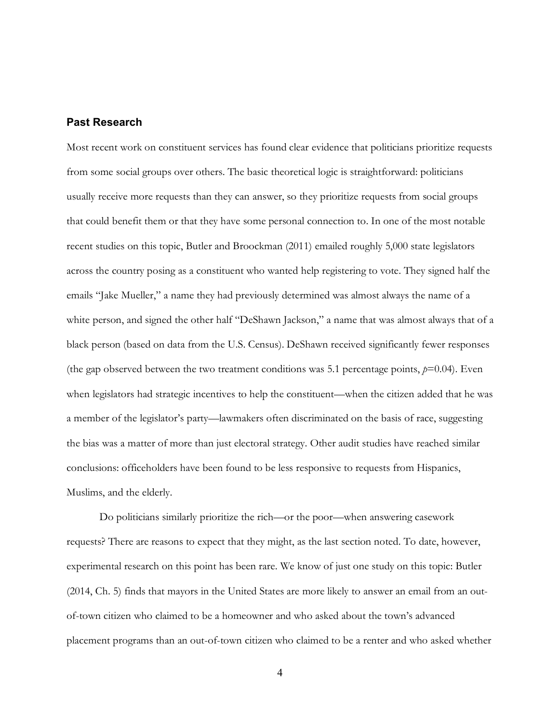### **Past Research**

Most recent work on constituent services has found clear evidence that politicians prioritize requests from some social groups over others. The basic theoretical logic is straightforward: politicians usually receive more requests than they can answer, so they prioritize requests from social groups that could benefit them or that they have some personal connection to. In one of the most notable recent studies on this topic, Butler and Broockman (2011) emailed roughly 5,000 state legislators across the country posing as a constituent who wanted help registering to vote. They signed half the emails "Jake Mueller," a name they had previously determined was almost always the name of a white person, and signed the other half "DeShawn Jackson," a name that was almost always that of a black person (based on data from the U.S. Census). DeShawn received significantly fewer responses (the gap observed between the two treatment conditions was 5.1 percentage points,  $p=0.04$ ). Even when legislators had strategic incentives to help the constituent—when the citizen added that he was a member of the legislator's party—lawmakers often discriminated on the basis of race, suggesting the bias was a matter of more than just electoral strategy. Other audit studies have reached similar conclusions: officeholders have been found to be less responsive to requests from Hispanics, Muslims, and the elderly.

Do politicians similarly prioritize the rich—or the poor—when answering casework requests? There are reasons to expect that they might, as the last section noted. To date, however, experimental research on this point has been rare. We know of just one study on this topic: Butler (2014, Ch. 5) finds that mayors in the United States are more likely to answer an email from an outof-town citizen who claimed to be a homeowner and who asked about the town's advanced placement programs than an out-of-town citizen who claimed to be a renter and who asked whether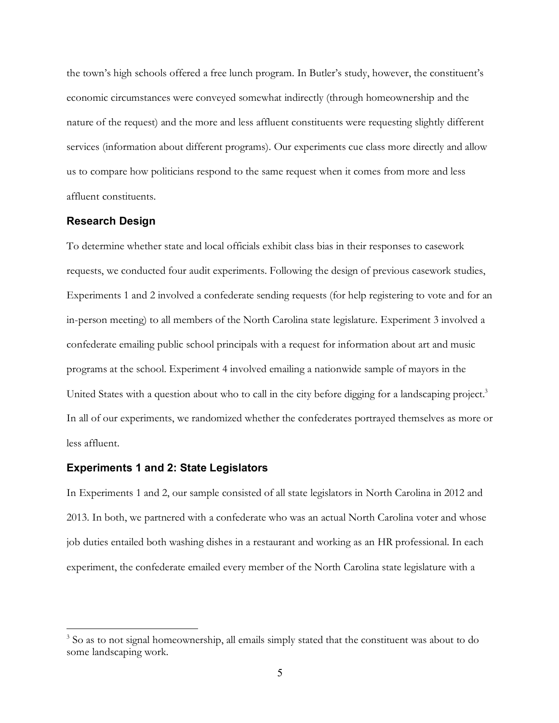the town's high schools offered a free lunch program. In Butler's study, however, the constituent's economic circumstances were conveyed somewhat indirectly (through homeownership and the nature of the request) and the more and less affluent constituents were requesting slightly different services (information about different programs). Our experiments cue class more directly and allow us to compare how politicians respond to the same request when it comes from more and less affluent constituents.

#### **Research Design**

**.** 

To determine whether state and local officials exhibit class bias in their responses to casework requests, we conducted four audit experiments. Following the design of previous casework studies, Experiments 1 and 2 involved a confederate sending requests (for help registering to vote and for an in-person meeting) to all members of the North Carolina state legislature. Experiment 3 involved a confederate emailing public school principals with a request for information about art and music programs at the school. Experiment 4 involved emailing a nationwide sample of mayors in the United States with a question about who to call in the city before digging for a landscaping project.<sup>3</sup> In all of our experiments, we randomized whether the confederates portrayed themselves as more or less affluent.

#### **Experiments 1 and 2: State Legislators**

In Experiments 1 and 2, our sample consisted of all state legislators in North Carolina in 2012 and 2013. In both, we partnered with a confederate who was an actual North Carolina voter and whose job duties entailed both washing dishes in a restaurant and working as an HR professional. In each experiment, the confederate emailed every member of the North Carolina state legislature with a

<sup>&</sup>lt;sup>3</sup> So as to not signal homeownership, all emails simply stated that the constituent was about to do some landscaping work.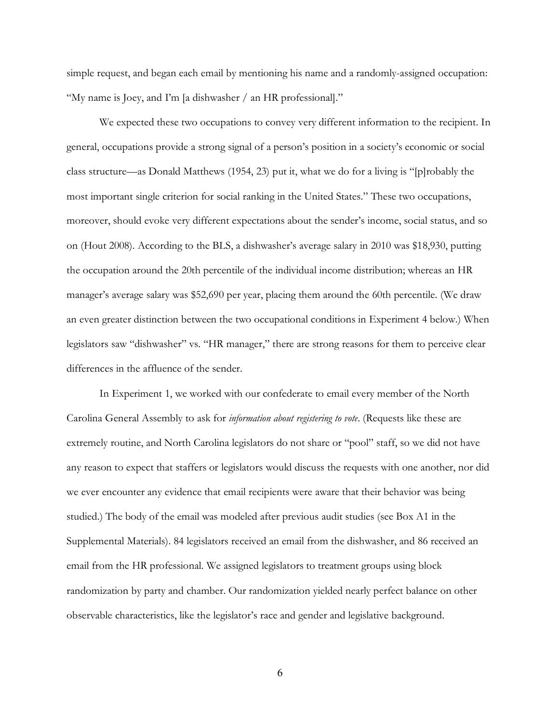simple request, and began each email by mentioning his name and a randomly-assigned occupation: "My name is Joey, and I'm [a dishwasher / an HR professional]."

We expected these two occupations to convey very different information to the recipient. In general, occupations provide a strong signal of a person's position in a society's economic or social class structure—as Donald Matthews (1954, 23) put it, what we do for a living is "[p]robably the most important single criterion for social ranking in the United States." These two occupations, moreover, should evoke very different expectations about the sender's income, social status, and so on (Hout 2008). According to the BLS, a dishwasher's average salary in 2010 was \$18,930, putting the occupation around the 20th percentile of the individual income distribution; whereas an HR manager's average salary was \$52,690 per year, placing them around the 60th percentile. (We draw an even greater distinction between the two occupational conditions in Experiment 4 below.) When legislators saw "dishwasher" vs. "HR manager," there are strong reasons for them to perceive clear differences in the affluence of the sender.

In Experiment 1, we worked with our confederate to email every member of the North Carolina General Assembly to ask for *information about registering to vote*. (Requests like these are extremely routine, and North Carolina legislators do not share or "pool" staff, so we did not have any reason to expect that staffers or legislators would discuss the requests with one another, nor did we ever encounter any evidence that email recipients were aware that their behavior was being studied.) The body of the email was modeled after previous audit studies (see Box A1 in the Supplemental Materials). 84 legislators received an email from the dishwasher, and 86 received an email from the HR professional. We assigned legislators to treatment groups using block randomization by party and chamber. Our randomization yielded nearly perfect balance on other observable characteristics, like the legislator's race and gender and legislative background.

6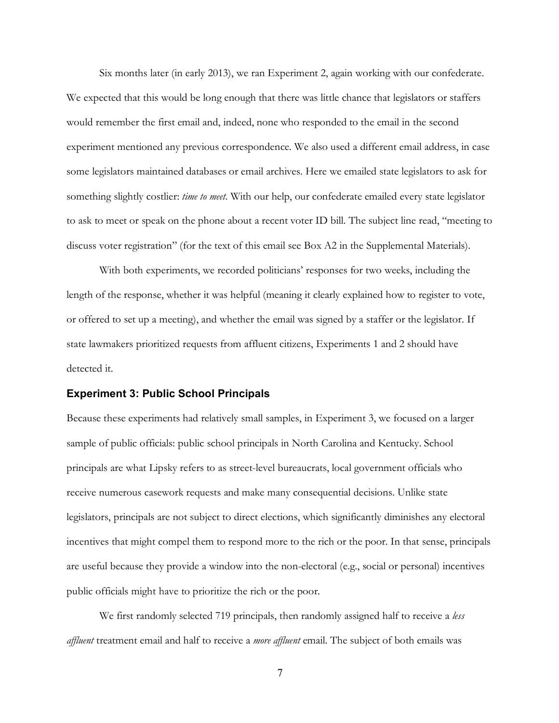Six months later (in early 2013), we ran Experiment 2, again working with our confederate. We expected that this would be long enough that there was little chance that legislators or staffers would remember the first email and, indeed, none who responded to the email in the second experiment mentioned any previous correspondence. We also used a different email address, in case some legislators maintained databases or email archives. Here we emailed state legislators to ask for something slightly costlier: *time to meet*. With our help, our confederate emailed every state legislator to ask to meet or speak on the phone about a recent voter ID bill. The subject line read, "meeting to discuss voter registration" (for the text of this email see Box A2 in the Supplemental Materials).

With both experiments, we recorded politicians' responses for two weeks, including the length of the response, whether it was helpful (meaning it clearly explained how to register to vote, or offered to set up a meeting), and whether the email was signed by a staffer or the legislator. If state lawmakers prioritized requests from affluent citizens, Experiments 1 and 2 should have detected it.

#### **Experiment 3: Public School Principals**

Because these experiments had relatively small samples, in Experiment 3, we focused on a larger sample of public officials: public school principals in North Carolina and Kentucky. School principals are what Lipsky refers to as street-level bureaucrats, local government officials who receive numerous casework requests and make many consequential decisions. Unlike state legislators, principals are not subject to direct elections, which significantly diminishes any electoral incentives that might compel them to respond more to the rich or the poor. In that sense, principals are useful because they provide a window into the non-electoral (e.g., social or personal) incentives public officials might have to prioritize the rich or the poor.

We first randomly selected 719 principals, then randomly assigned half to receive a *less affluent* treatment email and half to receive a *more affluent* email. The subject of both emails was

7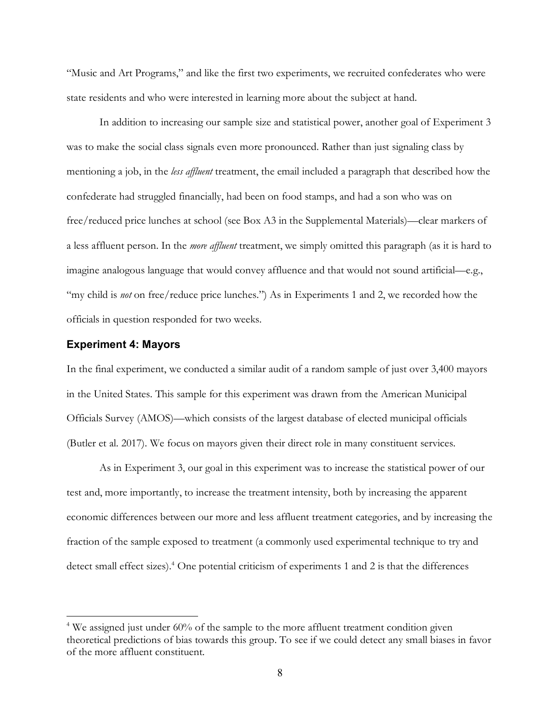"Music and Art Programs," and like the first two experiments, we recruited confederates who were state residents and who were interested in learning more about the subject at hand.

In addition to increasing our sample size and statistical power, another goal of Experiment 3 was to make the social class signals even more pronounced. Rather than just signaling class by mentioning a job, in the *less affluent* treatment, the email included a paragraph that described how the confederate had struggled financially, had been on food stamps, and had a son who was on free/reduced price lunches at school (see Box A3 in the Supplemental Materials)—clear markers of a less affluent person. In the *more affluent* treatment, we simply omitted this paragraph (as it is hard to imagine analogous language that would convey affluence and that would not sound artificial—e.g., "my child is *not* on free/reduce price lunches.") As in Experiments 1 and 2, we recorded how the officials in question responded for two weeks.

#### **Experiment 4: Mayors**

 $\overline{a}$ 

In the final experiment, we conducted a similar audit of a random sample of just over 3,400 mayors in the United States. This sample for this experiment was drawn from the American Municipal Officials Survey (AMOS)—which consists of the largest database of elected municipal officials (Butler et al. 2017). We focus on mayors given their direct role in many constituent services.

As in Experiment 3, our goal in this experiment was to increase the statistical power of our test and, more importantly, to increase the treatment intensity, both by increasing the apparent economic differences between our more and less affluent treatment categories, and by increasing the fraction of the sample exposed to treatment (a commonly used experimental technique to try and detect small effect sizes). <sup>4</sup> One potential criticism of experiments 1 and 2 is that the differences

<sup>&</sup>lt;sup>4</sup> We assigned just under 60% of the sample to the more affluent treatment condition given theoretical predictions of bias towards this group. To see if we could detect any small biases in favor of the more affluent constituent.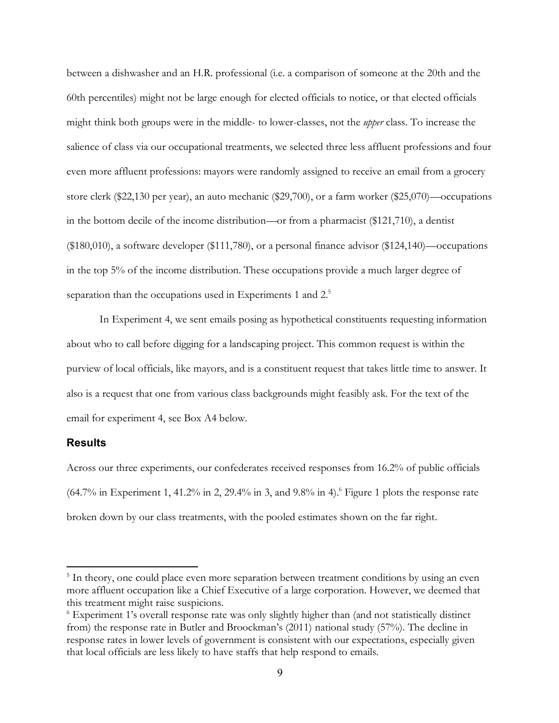between a dishwasher and an H.R. professional (i.e. a comparison of someone at the 20th and the 60th percentiles) might not be large enough for elected officials to notice, or that elected officials might think both groups were in the middle- to lower-classes, not the *upper* class. To increase the salience of class via our occupational treatments, we selected three less affluent professions and four even more affluent professions: mayors were randomly assigned to receive an email from a grocery store clerk (\$22,130 per year), an auto mechanic (\$29,700), or a farm worker (\$25,070)—occupations in the bottom decile of the income distribution—or from a pharmacist (\$121,710), a dentist (\$180,010), a software developer (\$111,780), or a personal finance advisor (\$124,140)—occupations in the top 5% of the income distribution. These occupations provide a much larger degree of separation than the occupations used in Experiments 1 and  $2<sup>5</sup>$ 

In Experiment 4, we sent emails posing as hypothetical constituents requesting information about who to call before digging for a landscaping project. This common request is within the purview of local officials, like mayors, and is a constituent request that takes little time to answer. It also is a request that one from various class backgrounds might feasibly ask. For the text of the email for experiment 4, see Box A4 below.

### **Results**

 $\overline{a}$ 

Across our three experiments, our confederates received responses from 16.2% of public officials  $(64.7\%$  in Experiment 1, 41.2% in 2, 29.4% in 3, and 9.8% in 4).<sup>6</sup> Figure 1 plots the response rate broken down by our class treatments, with the pooled estimates shown on the far right.

<sup>&</sup>lt;sup>5</sup> In theory, one could place even more separation between treatment conditions by using an even more affluent occupation like a Chief Executive of a large corporation. However, we deemed that this treatment might raise suspicions.

<sup>&</sup>lt;sup>6</sup> Experiment 1's overall response rate was only slightly higher than (and not statistically distinct from) the response rate in Butler and Broockman's (2011) national study (57%). The decline in response rates in lower levels of government is consistent with our expectations, especially given that local officials are less likely to have staffs that help respond to emails.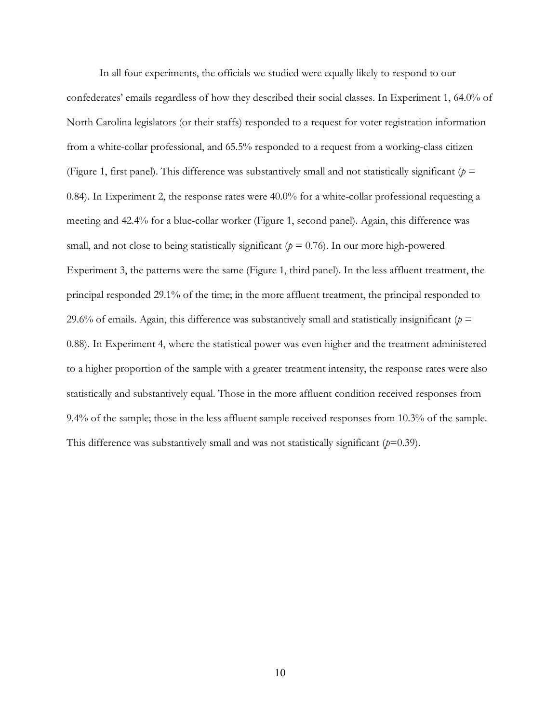In all four experiments, the officials we studied were equally likely to respond to our confederates' emails regardless of how they described their social classes. In Experiment 1, 64.0% of North Carolina legislators (or their staffs) responded to a request for voter registration information from a white-collar professional, and 65.5% responded to a request from a working-class citizen (Figure 1, first panel). This difference was substantively small and not statistically significant ( $p =$ 0.84). In Experiment 2, the response rates were 40.0% for a white-collar professional requesting a meeting and 42.4% for a blue-collar worker (Figure 1, second panel). Again, this difference was small, and not close to being statistically significant ( $p = 0.76$ ). In our more high-powered Experiment 3, the patterns were the same (Figure 1, third panel). In the less affluent treatment, the principal responded 29.1% of the time; in the more affluent treatment, the principal responded to 29.6% of emails. Again, this difference was substantively small and statistically insignificant ( $p =$ 0.88). In Experiment 4, where the statistical power was even higher and the treatment administered to a higher proportion of the sample with a greater treatment intensity, the response rates were also statistically and substantively equal. Those in the more affluent condition received responses from 9.4% of the sample; those in the less affluent sample received responses from 10.3% of the sample. This difference was substantively small and was not statistically significant  $(p=0.39)$ .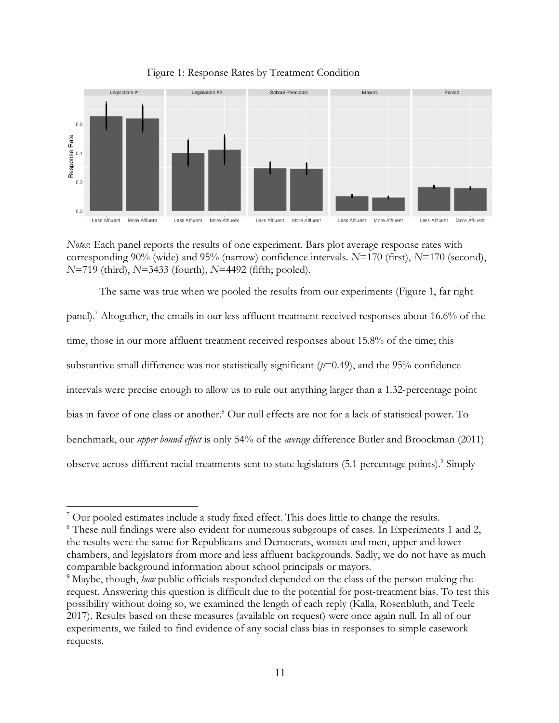

#### Figure 1: Response Rates by Treatment Condition

*Notes*: Each panel reports the results of one experiment. Bars plot average response rates with corresponding 90% (wide) and 95% (narrow) confidence intervals. *N*=170 (first), *N*=170 (second), *N*=719 (third), *N*=3433 (fourth), *N*=4492 (fifth; pooled).

The same was true when we pooled the results from our experiments (Figure 1, far right panel).<sup>7</sup> Altogether, the emails in our less affluent treatment received responses about 16.6% of the time, those in our more affluent treatment received responses about 15.8% of the time; this substantive small difference was not statistically significant  $(p=0.49)$ , and the 95% confidence intervals were precise enough to allow us to rule out anything larger than a 1.32-percentage point bias in favor of one class or another.<sup>8</sup> Our null effects are not for a lack of statistical power. To benchmark, our *upper bound effect* is only 54% of the *average* difference Butler and Broockman (2011) observe across different racial treatments sent to state legislators (5.1 percentage points).<sup>9</sup> Simply

**.** 

 $^7$  Our pooled estimates include a study fixed effect. This does little to change the results.  $^8$  These null findings were also evident for numerous subgroups of cases. In Experiments 1 and 2,

the results were the same for Republicans and Democrats, women and men, upper and lower chambers, and legislators from more and less affluent backgrounds. Sadly, we do not have as much comparable background information about school principals or mayors.

<sup>&</sup>lt;sup>9</sup> Maybe, though, *how* public officials responded depended on the class of the person making the request. Answering this question is difficult due to the potential for post-treatment bias. To test this possibility without doing so, we examined the length of each reply (Kalla, Rosenbluth, and Teele 2017). Results based on these measures (available on request) were once again null. In all of our experiments, we failed to find evidence of any social class bias in responses to simple casework requests.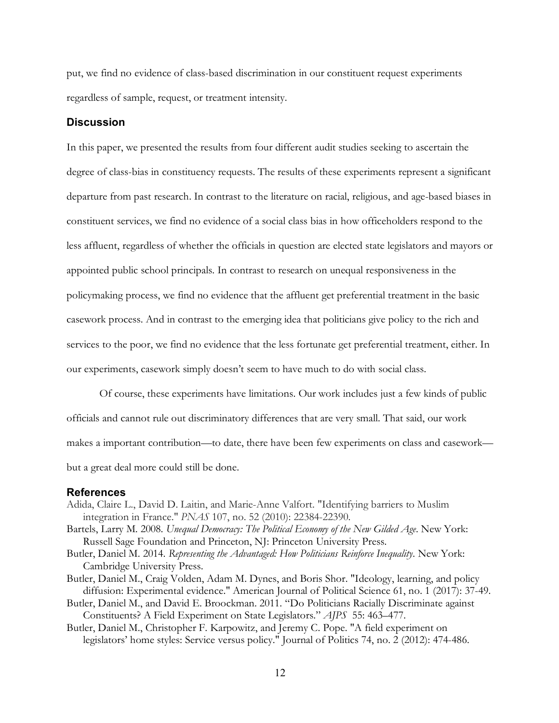put, we find no evidence of class-based discrimination in our constituent request experiments regardless of sample, request, or treatment intensity.

### **Discussion**

In this paper, we presented the results from four different audit studies seeking to ascertain the degree of class-bias in constituency requests. The results of these experiments represent a significant departure from past research. In contrast to the literature on racial, religious, and age-based biases in constituent services, we find no evidence of a social class bias in how officeholders respond to the less affluent, regardless of whether the officials in question are elected state legislators and mayors or appointed public school principals. In contrast to research on unequal responsiveness in the policymaking process, we find no evidence that the affluent get preferential treatment in the basic casework process. And in contrast to the emerging idea that politicians give policy to the rich and services to the poor, we find no evidence that the less fortunate get preferential treatment, either. In our experiments, casework simply doesn't seem to have much to do with social class.

Of course, these experiments have limitations. Our work includes just a few kinds of public officials and cannot rule out discriminatory differences that are very small. That said, our work makes a important contribution—to date, there have been few experiments on class and casework but a great deal more could still be done.

#### **References**

- Adida, Claire L., David D. Laitin, and Marie-Anne Valfort. "Identifying barriers to Muslim integration in France." *PNAS* 107, no. 52 (2010): 22384-22390.
- Bartels, Larry M. 2008. *Unequal Democracy: The Political Economy of the New Gilded Age*. New York: Russell Sage Foundation and Princeton, NJ: Princeton University Press.
- Butler, Daniel M. 2014. *Representing the Advantaged: How Politicians Reinforce Inequality*. New York: Cambridge University Press.
- Butler, Daniel M., Craig Volden, Adam M. Dynes, and Boris Shor. "Ideology, learning, and policy diffusion: Experimental evidence." American Journal of Political Science 61, no. 1 (2017): 37-49.
- Butler, Daniel M., and David E. Broockman. 2011. "Do Politicians Racially Discriminate against Constituents? A Field Experiment on State Legislators." *AJPS* 55: 463–477.
- Butler, Daniel M., Christopher F. Karpowitz, and Jeremy C. Pope. "A field experiment on legislators' home styles: Service versus policy." Journal of Politics 74, no. 2 (2012): 474-486.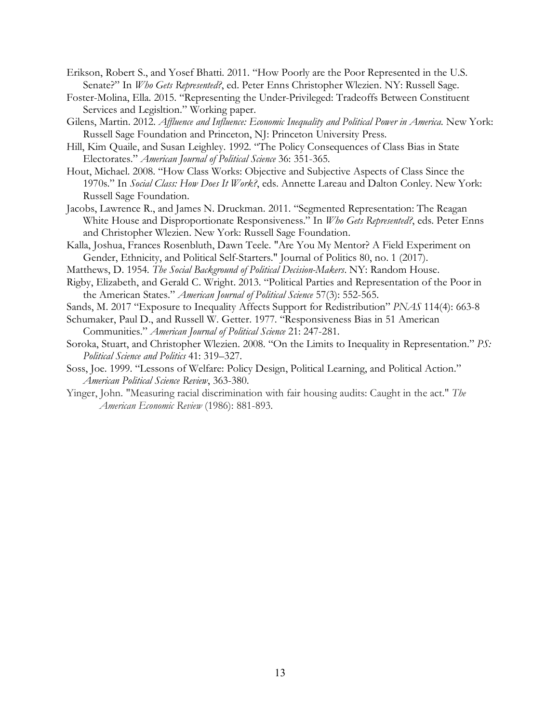- Erikson, Robert S., and Yosef Bhatti. 2011. "How Poorly are the Poor Represented in the U.S. Senate?" In *Who Gets Represented?*, ed. Peter Enns Christopher Wlezien. NY: Russell Sage.
- Foster-Molina, Ella. 2015. "Representing the Under-Privileged: Tradeoffs Between Constituent Services and Legisltion." Working paper.
- Gilens, Martin. 2012. *Affluence and Influence: Economic Inequality and Political Power in America*. New York: Russell Sage Foundation and Princeton, NJ: Princeton University Press.
- Hill, Kim Quaile, and Susan Leighley. 1992. "The Policy Consequences of Class Bias in State Electorates." *American Journal of Political Science* 36: 351-365.
- Hout, Michael. 2008. "How Class Works: Objective and Subjective Aspects of Class Since the 1970s." In *Social Class: How Does It Work?*, eds. Annette Lareau and Dalton Conley. New York: Russell Sage Foundation.
- Jacobs, Lawrence R., and James N. Druckman. 2011. "Segmented Representation: The Reagan White House and Disproportionate Responsiveness." In *Who Gets Represented?*, eds. Peter Enns and Christopher Wlezien. New York: Russell Sage Foundation.
- Kalla, Joshua, Frances Rosenbluth, Dawn Teele. "Are You My Mentor? A Field Experiment on Gender, Ethnicity, and Political Self-Starters." Journal of Politics 80, no. 1 (2017).
- Matthews, D. 1954. *The Social Background of Political Decision-Makers*. NY: Random House.
- Rigby, Elizabeth, and Gerald C. Wright. 2013. "Political Parties and Representation of the Poor in the American States." *American Journal of Political Science* 57(3): 552-565.
- Sands, M. 2017 "Exposure to Inequality Affects Support for Redistribution" *PNAS* 114(4): 663-8
- Schumaker, Paul D., and Russell W. Getter. 1977. "Responsiveness Bias in 51 American Communities." *American Journal of Political Science* 21: 247-281.
- Soroka, Stuart, and Christopher Wlezien. 2008. "On the Limits to Inequality in Representation." *PS: Political Science and Politics* 41: 319–327.
- Soss, Joe. 1999. "Lessons of Welfare: Policy Design, Political Learning, and Political Action." *American Political Science Review*, 363-380.
- Yinger, John. "Measuring racial discrimination with fair housing audits: Caught in the act." *The American Economic Review* (1986): 881-893.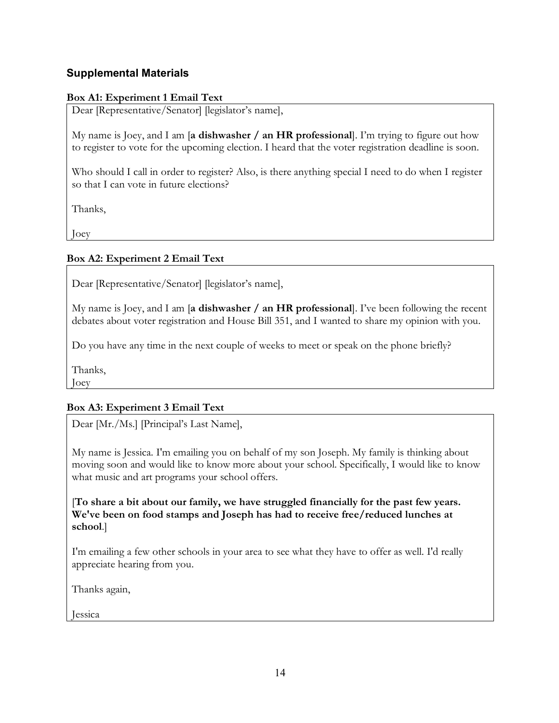# **Supplemental Materials**

### **Box A1: Experiment 1 Email Text**

Dear [Representative/Senator] [legislator's name],

My name is Joey, and I am [**a dishwasher / an HR professional**]. I'm trying to figure out how to register to vote for the upcoming election. I heard that the voter registration deadline is soon.

Who should I call in order to register? Also, is there anything special I need to do when I register so that I can vote in future elections?

Thanks,

Joey

## **Box A2: Experiment 2 Email Text**

Dear [Representative/Senator] [legislator's name],

My name is Joey, and I am [**a dishwasher / an HR professional**]. I've been following the recent debates about voter registration and House Bill 351, and I wanted to share my opinion with you.

Do you have any time in the next couple of weeks to meet or speak on the phone briefly?

Thanks,

Joey

## **Box A3: Experiment 3 Email Text**

Dear [Mr./Ms.] [Principal's Last Name],

My name is Jessica. I'm emailing you on behalf of my son Joseph. My family is thinking about moving soon and would like to know more about your school. Specifically, I would like to know what music and art programs your school offers.

[**To share a bit about our family, we have struggled financially for the past few years. We've been on food stamps and Joseph has had to receive free/reduced lunches at school**.]

I'm emailing a few other schools in your area to see what they have to offer as well. I'd really appreciate hearing from you.

Thanks again,

Jessica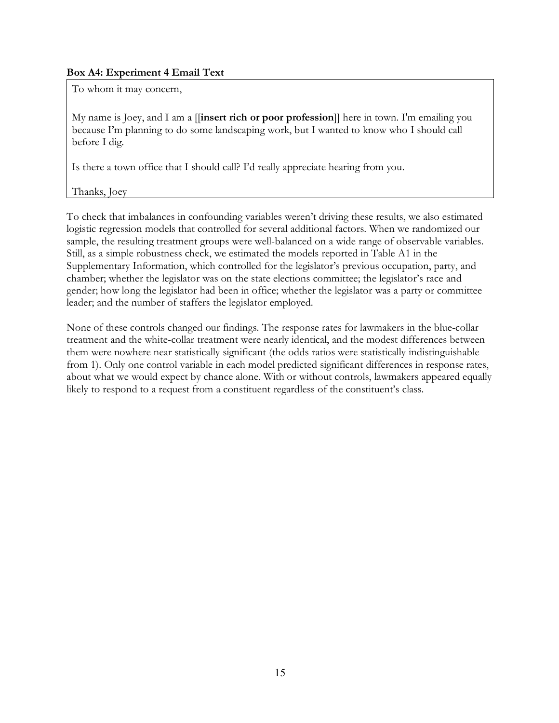### **Box A4: Experiment 4 Email Text**

To whom it may concern,

My name is Joey, and I am a [[**insert rich or poor profession**]] here in town. I'm emailing you because I'm planning to do some landscaping work, but I wanted to know who I should call before I dig.

Is there a town office that I should call? I'd really appreciate hearing from you.

Thanks, Joey

To check that imbalances in confounding variables weren't driving these results, we also estimated logistic regression models that controlled for several additional factors. When we randomized our sample, the resulting treatment groups were well-balanced on a wide range of observable variables. Still, as a simple robustness check, we estimated the models reported in Table A1 in the Supplementary Information, which controlled for the legislator's previous occupation, party, and chamber; whether the legislator was on the state elections committee; the legislator's race and gender; how long the legislator had been in office; whether the legislator was a party or committee leader; and the number of staffers the legislator employed.

None of these controls changed our findings. The response rates for lawmakers in the blue-collar treatment and the white-collar treatment were nearly identical, and the modest differences between them were nowhere near statistically significant (the odds ratios were statistically indistinguishable from 1). Only one control variable in each model predicted significant differences in response rates, about what we would expect by chance alone. With or without controls, lawmakers appeared equally likely to respond to a request from a constituent regardless of the constituent's class.